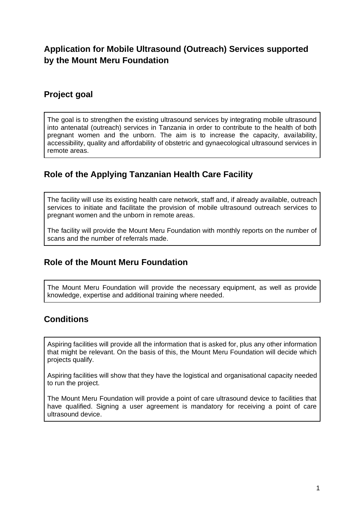## **Application for Mobile Ultrasound (Outreach) Services supported by the Mount Meru Foundation**

#### **Project goal**

The goal is to strengthen the existing ultrasound services by integrating mobile ultrasound into antenatal (outreach) services in Tanzania in order to contribute to the health of both pregnant women and the unborn. The aim is to increase the capacity, availability, accessibility, quality and affordability of obstetric and gynaecological ultrasound services in remote areas.

### **Role of the Applying Tanzanian Health Care Facility**

The facility will use its existing health care network, staff and, if already available, outreach services to initiate and facilitate the provision of mobile ultrasound outreach services to pregnant women and the unborn in remote areas.

The facility will provide the Mount Meru Foundation with monthly reports on the number of scans and the number of referrals made.

### **Role of the Mount Meru Foundation**

The Mount Meru Foundation will provide the necessary equipment, as well as provide knowledge, expertise and additional training where needed.

## **Conditions**

Aspiring facilities will provide all the information that is asked for, plus any other information that might be relevant. On the basis of this, the Mount Meru Foundation will decide which projects qualify.

Aspiring facilities will show that they have the logistical and organisational capacity needed to run the project.

The Mount Meru Foundation will provide a point of care ultrasound device to facilities that have qualified. Signing a user agreement is mandatory for receiving a point of care ultrasound device.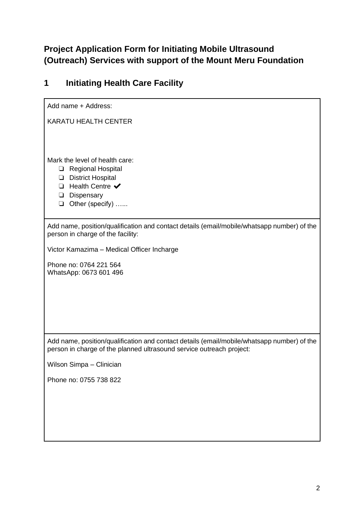# **Project Application Form for Initiating Mobile Ultrasound (Outreach) Services with support of the Mount Meru Foundation**

## **1 Initiating Health Care Facility**

Add name + Address: KARATU HEALTH CENTER Mark the level of health care: ❏ Regional Hospital ❏ District Hospital ❏ Health Centre ✔ ❏ Dispensary ❏ Other (specify) …... Add name, position/qualification and contact details (email/mobile/whatsapp number) of the person in charge of the facility: Victor Kamazima – Medical Officer Incharge Phone no: 0764 221 564 WhatsApp: 0673 601 496 Add name, position/qualification and contact details (email/mobile/whatsapp number) of the person in charge of the planned ultrasound service outreach project: Wilson Simpa – Clinician Phone no: 0755 738 822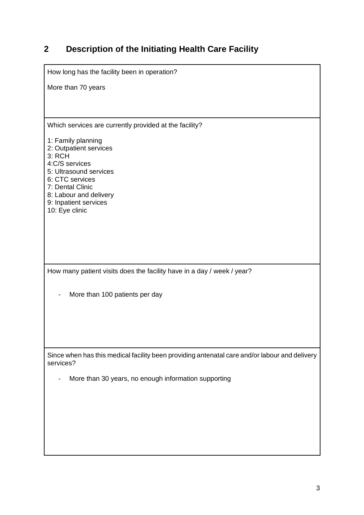## **2 Description of the Initiating Health Care Facility**

How long has the facility been in operation?

More than 70 years

Which services are currently provided at the facility?

- 1: Family planning
- 2: Outpatient services
- 3: RCH
- 4:C/S services
- 5: Ultrasound services
- 6: CTC services
- 7: Dental Clinic
- 8: Labour and delivery
- 9: Inpatient services
- 10: Eye clinic

How many patient visits does the facility have in a day / week / year?

- More than 100 patients per day

Since when has this medical facility been providing antenatal care and/or labour and delivery services?

- More than 30 years, no enough information supporting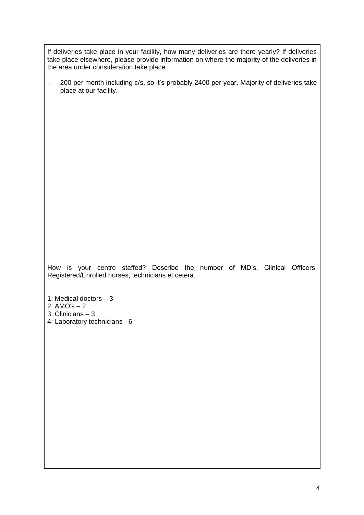If deliveries take place in your facility, how many deliveries are there yearly? If deliveries take place elsewhere, please provide information on where the majority of the deliveries in the area under consideration take place.

- 200 per month including c/s, so it's probably 2400 per year. Majority of deliveries take place at our facility.

How is your centre staffed? Describe the number of MD's, Clinical Officers, Registered/Enrolled nurses, technicians et cetera.

- 1: Medical doctors 3
- 2: AMO's 2
- 3: Clinicians 3
- 4: Laboratory technicians 6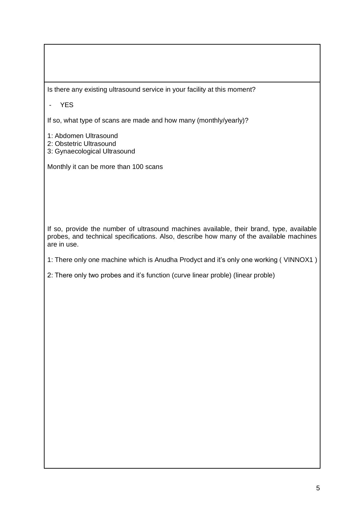Is there any existing ultrasound service in your facility at this moment?

- YES

If so, what type of scans are made and how many (monthly/yearly)?

1: Abdomen Ultrasound

2: Obstetric Ultrasound

3: Gynaecological Ultrasound

Monthly it can be more than 100 scans

If so, provide the number of ultrasound machines available, their brand, type, available probes, and technical specifications. Also, describe how many of the available machines are in use.

1: There only one machine which is Anudha Prodyct and it's only one working ( VINNOX1 )

2: There only two probes and it's function (curve linear proble) (linear proble)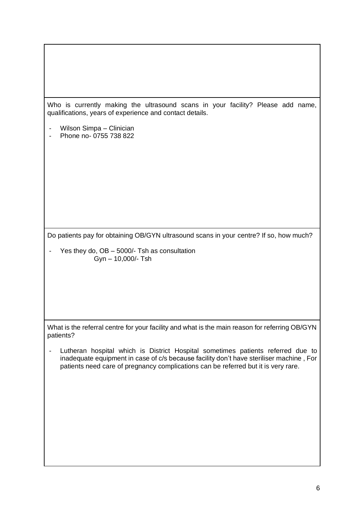Who is currently making the ultrasound scans in your facility? Please add name, qualifications, years of experience and contact details.

- Wilson Simpa Clinician
- Phone no- 0755 738 822

Do patients pay for obtaining OB/GYN ultrasound scans in your centre? If so, how much?

- Yes they do, OB – 5000/- Tsh as consultation Gyn – 10,000/- Tsh

What is the referral centre for your facility and what is the main reason for referring OB/GYN patients?

- Lutheran hospital which is District Hospital sometimes patients referred due to inadequate equipment in case of c/s because facility don't have steriliser machine , For patients need care of pregnancy complications can be referred but it is very rare.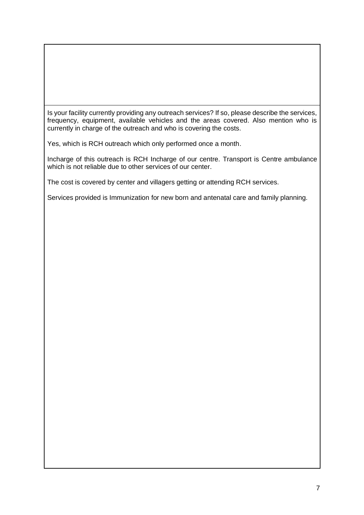Is your facility currently providing any outreach services? If so, please describe the services, frequency, equipment, available vehicles and the areas covered. Also mention who is currently in charge of the outreach and who is covering the costs.

Yes, which is RCH outreach which only performed once a month.

Incharge of this outreach is RCH Incharge of our centre. Transport is Centre ambulance which is not reliable due to other services of our center.

The cost is covered by center and villagers getting or attending RCH services.

Services provided is Immunization for new born and antenatal care and family planning.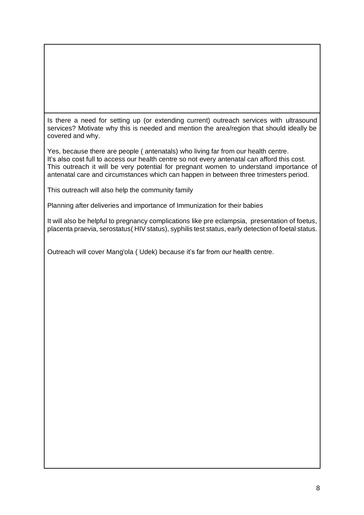Is there a need for setting up (or extending current) outreach services with ultrasound services? Motivate why this is needed and mention the area/region that should ideally be covered and why.

Yes, because there are people ( antenatals) who living far from our health centre. It's also cost full to access our health centre so not every antenatal can afford this cost. This outreach it will be very potential for pregnant women to understand importance of antenatal care and circumstances which can happen in between three trimesters period.

This outreach will also help the community family

Planning after deliveries and importance of Immunization for their babies

It will also be helpful to pregnancy complications like pre eclampsia, presentation of foetus, placenta praevia, serostatus( HIV status), syphilis test status, early detection of foetal status.

Outreach will cover Mang'ola ( Udek) because it's far from our health centre.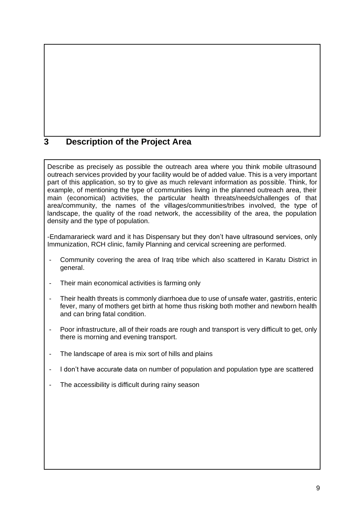## **3 Description of the Project Area**

Describe as precisely as possible the outreach area where you think mobile ultrasound outreach services provided by your facility would be of added value. This is a very important part of this application, so try to give as much relevant information as possible. Think, for example, of mentioning the type of communities living in the planned outreach area, their main (economical) activities, the particular health threats/needs/challenges of that area/community, the names of the villages/communities/tribes involved, the type of landscape, the quality of the road network, the accessibility of the area, the population density and the type of population.

-Endamararieck ward and it has Dispensary but they don't have ultrasound services, only Immunization, RCH clinic, family Planning and cervical screening are performed.

- Community covering the area of Iraq tribe which also scattered in Karatu District in general.
- Their main economical activities is farming only
- Their health threats is commonly diarrhoea due to use of unsafe water, gastritis, enteric fever, many of mothers get birth at home thus risking both mother and newborn health and can bring fatal condition.
- Poor infrastructure, all of their roads are rough and transport is very difficult to get, only there is morning and evening transport.
- The landscape of area is mix sort of hills and plains
- I don't have accurate data on number of population and population type are scattered
- The accessibility is difficult during rainy season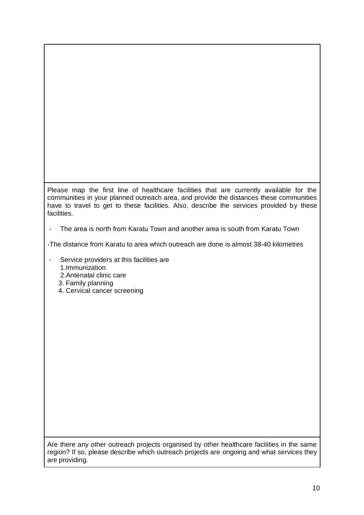Please map the first line of healthcare facilities that are currently available for the communities in your planned outreach area, and provide the distances these communities have to travel to get to these facilities. Also, describe the services provided by these facilities.

- The area is north from Karatu Town and another area is south from Karatu Town

-The distance from Karatu to area which outreach are done is almost 38-40 kilometres

- Service providers at this facilities are 1.Immunization
	- 2.Antenatal clinic care
	- 3. Family planning
	- 4. Cervical cancer screening

Are there any other outreach projects organised by other healthcare facilities in the same region? If so, please describe which outreach projects are ongoing and what services they are providing.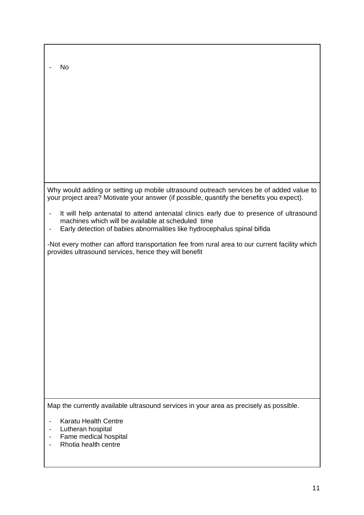| No                                                                                                                                                                                                                       |
|--------------------------------------------------------------------------------------------------------------------------------------------------------------------------------------------------------------------------|
|                                                                                                                                                                                                                          |
|                                                                                                                                                                                                                          |
|                                                                                                                                                                                                                          |
| Why would adding or setting up mobile ultrasound outreach services be of added value to<br>your project area? Motivate your answer (if possible, quantify the benefits you expect).                                      |
| It will help antenatal to attend antenatal clinics early due to presence of ultrasound<br>machines which will be available at scheduled time<br>Early detection of babies abnormalities like hydrocephalus spinal bifida |
| -Not every mother can afford transportation fee from rural area to our current facility which<br>provides ultrasound services, hence they will benefit                                                                   |
|                                                                                                                                                                                                                          |
|                                                                                                                                                                                                                          |
|                                                                                                                                                                                                                          |
|                                                                                                                                                                                                                          |
|                                                                                                                                                                                                                          |
|                                                                                                                                                                                                                          |
| Map the currently available ultrasound services in your area as precisely as possible.                                                                                                                                   |
| <b>Karatu Health Centre</b><br>Lutheran hospital<br>Fame medical hospital<br>Rhotia health centre                                                                                                                        |
|                                                                                                                                                                                                                          |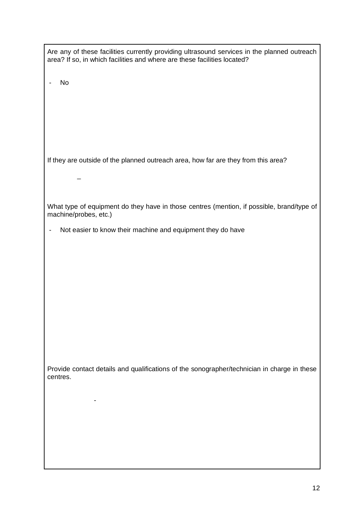| Are any of these facilities currently providing ultrasound services in the planned outreach<br>area? If so, in which facilities and where are these facilities located? |
|-------------------------------------------------------------------------------------------------------------------------------------------------------------------------|
| No                                                                                                                                                                      |
|                                                                                                                                                                         |
|                                                                                                                                                                         |
| If they are outside of the planned outreach area, how far are they from this area?                                                                                      |
|                                                                                                                                                                         |
| What type of equipment do they have in those centres (mention, if possible, brand/type of<br>machine/probes, etc.)                                                      |
| Not easier to know their machine and equipment they do have                                                                                                             |
|                                                                                                                                                                         |
|                                                                                                                                                                         |
|                                                                                                                                                                         |
|                                                                                                                                                                         |
|                                                                                                                                                                         |
| Provide contact details and qualifications of the sonographer/technician in charge in these<br>centres.                                                                 |
|                                                                                                                                                                         |
|                                                                                                                                                                         |
|                                                                                                                                                                         |
|                                                                                                                                                                         |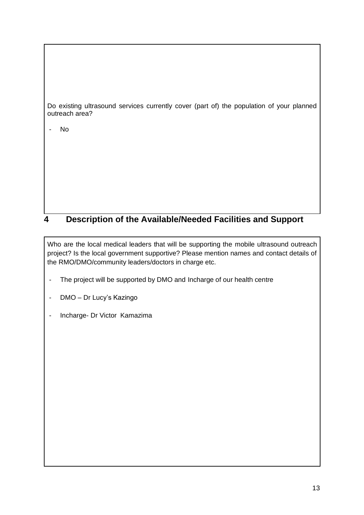Do existing ultrasound services currently cover (part of) the population of your planned outreach area?

- No

## **4 Description of the Available/Needed Facilities and Support**

Who are the local medical leaders that will be supporting the mobile ultrasound outreach project? Is the local government supportive? Please mention names and contact details of the RMO/DMO/community leaders/doctors in charge etc.

- The project will be supported by DMO and Incharge of our health centre
- DMO Dr Lucy's Kazingo
- Incharge- Dr Victor Kamazima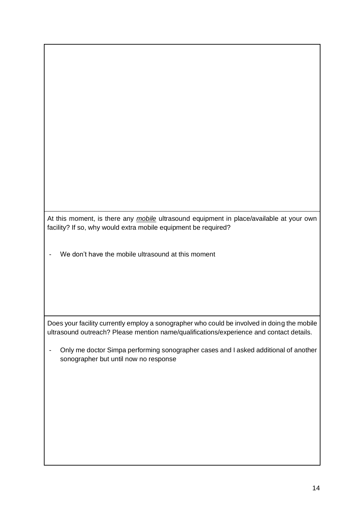At this moment, is there any *mobile* ultrasound equipment in place/available at your own facility? If so, why would extra mobile equipment be required?

- We don't have the mobile ultrasound at this moment

Does your facility currently employ a sonographer who could be involved in doing the mobile ultrasound outreach? Please mention name/qualifications/experience and contact details.

- Only me doctor Simpa performing sonographer cases and I asked additional of another sonographer but until now no response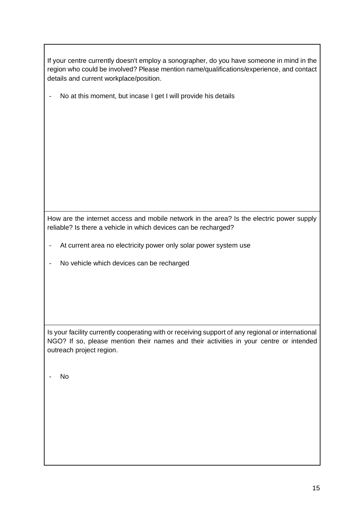If your centre currently doesn't employ a sonographer, do you have someone in mind in the region who could be involved? Please mention name/qualifications/experience, and contact details and current workplace/position.

- No at this moment, but incase I get I will provide his details

How are the internet access and mobile network in the area? Is the electric power supply reliable? Is there a vehicle in which devices can be recharged?

- At current area no electricity power only solar power system use
- No vehicle which devices can be recharged

Is your facility currently cooperating with or receiving support of any regional or international NGO? If so, please mention their names and their activities in your centre or intended outreach project region.

- No